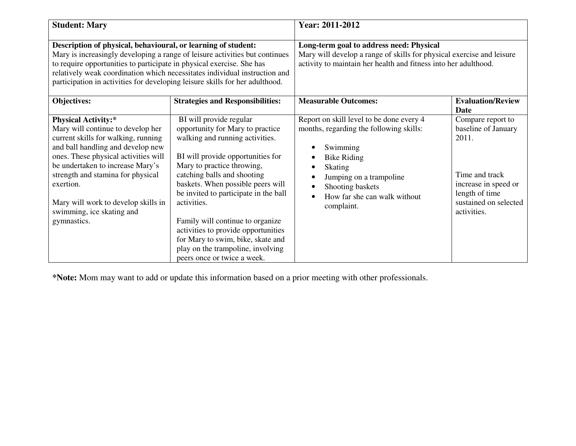| <b>Student: Mary</b>                                                                                                                                                                                                                                                                                                                                                                |                                                                                                                                                                                                                                                                                                                                                                                                                                                                                   | Year: 2011-2012                                                                                                                                                                                                                                                                                       |                                                                                                                                                       |
|-------------------------------------------------------------------------------------------------------------------------------------------------------------------------------------------------------------------------------------------------------------------------------------------------------------------------------------------------------------------------------------|-----------------------------------------------------------------------------------------------------------------------------------------------------------------------------------------------------------------------------------------------------------------------------------------------------------------------------------------------------------------------------------------------------------------------------------------------------------------------------------|-------------------------------------------------------------------------------------------------------------------------------------------------------------------------------------------------------------------------------------------------------------------------------------------------------|-------------------------------------------------------------------------------------------------------------------------------------------------------|
| Description of physical, behavioural, or learning of student:<br>Mary is increasingly developing a range of leisure activities but continues<br>to require opportunities to participate in physical exercise. She has<br>relatively weak coordination which necessitates individual instruction and<br>participation in activities for developing leisure skills for her adulthood. |                                                                                                                                                                                                                                                                                                                                                                                                                                                                                   | Long-term goal to address need: Physical<br>Mary will develop a range of skills for physical exercise and leisure<br>activity to maintain her health and fitness into her adulthood.                                                                                                                  |                                                                                                                                                       |
| <b>Objectives:</b>                                                                                                                                                                                                                                                                                                                                                                  | <b>Strategies and Responsibilities:</b>                                                                                                                                                                                                                                                                                                                                                                                                                                           | <b>Measurable Outcomes:</b>                                                                                                                                                                                                                                                                           | <b>Evaluation/Review</b><br>Date                                                                                                                      |
| <b>Physical Activity:*</b><br>Mary will continue to develop her<br>current skills for walking, running<br>and ball handling and develop new<br>ones. These physical activities will<br>be undertaken to increase Mary's<br>strength and stamina for physical<br>exertion.<br>Mary will work to develop skills in<br>swimming, ice skating and<br>gymnastics.                        | BI will provide regular<br>opportunity for Mary to practice<br>walking and running activities.<br>BI will provide opportunities for<br>Mary to practice throwing,<br>catching balls and shooting<br>baskets. When possible peers will<br>be invited to participate in the ball<br>activities.<br>Family will continue to organize<br>activities to provide opportunities<br>for Mary to swim, bike, skate and<br>play on the trampoline, involving<br>peers once or twice a week. | Report on skill level to be done every 4<br>months, regarding the following skills:<br>Swimming<br><b>Bike Riding</b><br>$\bullet$<br><b>Skating</b><br>$\bullet$<br>Jumping on a trampoline<br>$\bullet$<br>Shooting baskets<br>$\bullet$<br>How far she can walk without<br>$\bullet$<br>complaint. | Compare report to<br>baseline of January<br>2011.<br>Time and track<br>increase in speed or<br>length of time<br>sustained on selected<br>activities. |

**\*Note:** Mom may want to add or update this information based on a prior meeting with other professionals.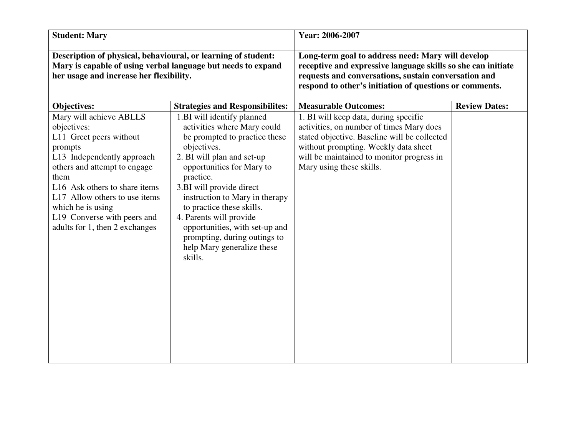| <b>Student: Mary</b>                                                                                                                                                                                                                                                                                       |                                                                                                                                                                                                                                                                                                                                                                                                                    | Year: 2006-2007                                                                                                                                                                                                                                    |                      |
|------------------------------------------------------------------------------------------------------------------------------------------------------------------------------------------------------------------------------------------------------------------------------------------------------------|--------------------------------------------------------------------------------------------------------------------------------------------------------------------------------------------------------------------------------------------------------------------------------------------------------------------------------------------------------------------------------------------------------------------|----------------------------------------------------------------------------------------------------------------------------------------------------------------------------------------------------------------------------------------------------|----------------------|
| Description of physical, behavioural, or learning of student:<br>Mary is capable of using verbal language but needs to expand<br>her usage and increase her flexibility.                                                                                                                                   |                                                                                                                                                                                                                                                                                                                                                                                                                    | Long-term goal to address need: Mary will develop<br>receptive and expressive language skills so she can initiate<br>requests and conversations, sustain conversation and<br>respond to other's initiation of questions or comments.               |                      |
| Objectives:                                                                                                                                                                                                                                                                                                | <b>Strategies and Responsibilites:</b>                                                                                                                                                                                                                                                                                                                                                                             | <b>Measurable Outcomes:</b>                                                                                                                                                                                                                        | <b>Review Dates:</b> |
| Mary will achieve ABLLS<br>objectives:<br>L11 Greet peers without<br>prompts<br>L13 Independently approach<br>others and attempt to engage<br>them<br>L16 Ask others to share items<br>L17 Allow others to use items<br>which he is using<br>L19 Converse with peers and<br>adults for 1, then 2 exchanges | 1.BI will identify planned<br>activities where Mary could<br>be prompted to practice these<br>objectives.<br>2. BI will plan and set-up<br>opportunities for Mary to<br>practice.<br>3.BI will provide direct<br>instruction to Mary in therapy<br>to practice these skills.<br>4. Parents will provide<br>opportunities, with set-up and<br>prompting, during outings to<br>help Mary generalize these<br>skills. | 1. BI will keep data, during specific<br>activities, on number of times Mary does<br>stated objective. Baseline will be collected<br>without prompting. Weekly data sheet<br>will be maintained to monitor progress in<br>Mary using these skills. |                      |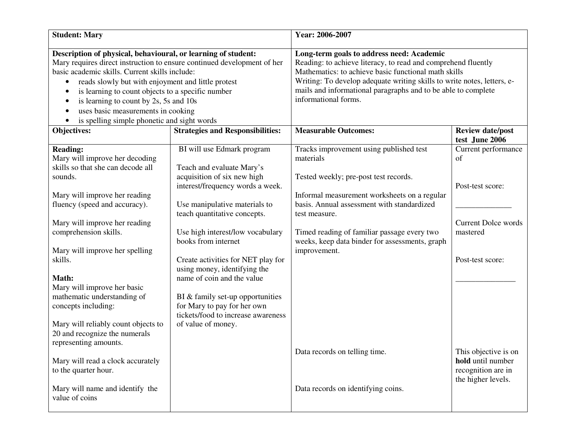| <b>Student: Mary</b>                                                                                                                                                                                                                                                                                                                                                                                                                      |                                                                                                                                                               | Year: 2006-2007                                                                                                                                                                                                                                                                                                                        |                                                                                       |
|-------------------------------------------------------------------------------------------------------------------------------------------------------------------------------------------------------------------------------------------------------------------------------------------------------------------------------------------------------------------------------------------------------------------------------------------|---------------------------------------------------------------------------------------------------------------------------------------------------------------|----------------------------------------------------------------------------------------------------------------------------------------------------------------------------------------------------------------------------------------------------------------------------------------------------------------------------------------|---------------------------------------------------------------------------------------|
| Description of physical, behavioural, or learning of student:<br>Mary requires direct instruction to ensure continued development of her<br>basic academic skills. Current skills include:<br>reads slowly but with enjoyment and little protest<br>is learning to count objects to a specific number<br>is learning to count by 2s, 5s and 10s<br>c<br>uses basic measurements in cooking<br>is spelling simple phonetic and sight words |                                                                                                                                                               | Long-term goals to address need: Academic<br>Reading: to achieve literacy, to read and comprehend fluently<br>Mathematics: to achieve basic functional math skills<br>Writing: To develop adequate writing skills to write notes, letters, e-<br>mails and informational paragraphs and to be able to complete<br>informational forms. |                                                                                       |
| Objectives:                                                                                                                                                                                                                                                                                                                                                                                                                               | <b>Strategies and Responsibilities:</b>                                                                                                                       | <b>Measurable Outcomes:</b>                                                                                                                                                                                                                                                                                                            | <b>Review date/post</b><br>test June 2006                                             |
| <b>Reading:</b><br>Mary will improve her decoding<br>skills so that she can decode all<br>sounds.<br>Mary will improve her reading<br>fluency (speed and accuracy).                                                                                                                                                                                                                                                                       | BI will use Edmark program<br>Teach and evaluate Mary's<br>acquisition of six new high<br>interest/frequency words a week.<br>Use manipulative materials to   | Tracks improvement using published test<br>materials<br>Tested weekly; pre-post test records.<br>Informal measurement worksheets on a regular<br>basis. Annual assessment with standardized                                                                                                                                            | Current performance<br>of<br>Post-test score:                                         |
| Mary will improve her reading<br>comprehension skills.<br>Mary will improve her spelling<br>skills.                                                                                                                                                                                                                                                                                                                                       | teach quantitative concepts.<br>Use high interest/low vocabulary<br>books from internet<br>Create activities for NET play for<br>using money, identifying the | test measure.<br>Timed reading of familiar passage every two<br>weeks, keep data binder for assessments, graph<br>improvement.                                                                                                                                                                                                         | <b>Current Dolce words</b><br>mastered<br>Post-test score:                            |
| Math:<br>Mary will improve her basic<br>mathematic understanding of<br>concepts including:<br>Mary will reliably count objects to<br>20 and recognize the numerals                                                                                                                                                                                                                                                                        | name of coin and the value<br>BI & family set-up opportunities<br>for Mary to pay for her own<br>tickets/food to increase awareness<br>of value of money.     |                                                                                                                                                                                                                                                                                                                                        |                                                                                       |
| representing amounts.<br>Mary will read a clock accurately<br>to the quarter hour.<br>Mary will name and identify the<br>value of coins                                                                                                                                                                                                                                                                                                   |                                                                                                                                                               | Data records on telling time.<br>Data records on identifying coins.                                                                                                                                                                                                                                                                    | This objective is on<br>hold until number<br>recognition are in<br>the higher levels. |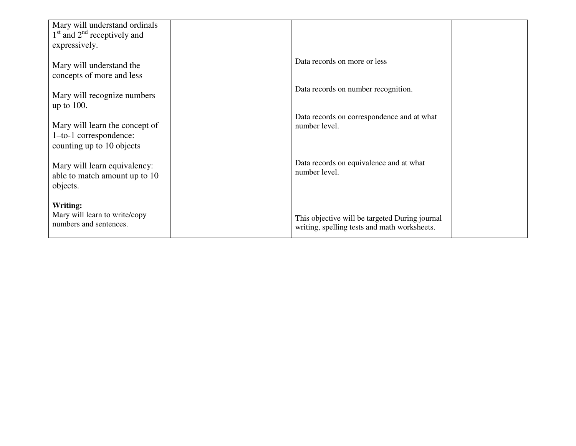| Mary will understand ordinals<br>$1st$ and $2nd$ receptively and<br>expressively.     |                                                                                                |
|---------------------------------------------------------------------------------------|------------------------------------------------------------------------------------------------|
| Mary will understand the<br>concepts of more and less                                 | Data records on more or less                                                                   |
| Mary will recognize numbers<br>up to $100$ .                                          | Data records on number recognition.                                                            |
| Mary will learn the concept of<br>1-to-1 correspondence:<br>counting up to 10 objects | Data records on correspondence and at what<br>number level.                                    |
| Mary will learn equivalency:<br>able to match amount up to 10<br>objects.             | Data records on equivalence and at what<br>number level.                                       |
| Writing:<br>Mary will learn to write/copy<br>numbers and sentences.                   | This objective will be targeted During journal<br>writing, spelling tests and math worksheets. |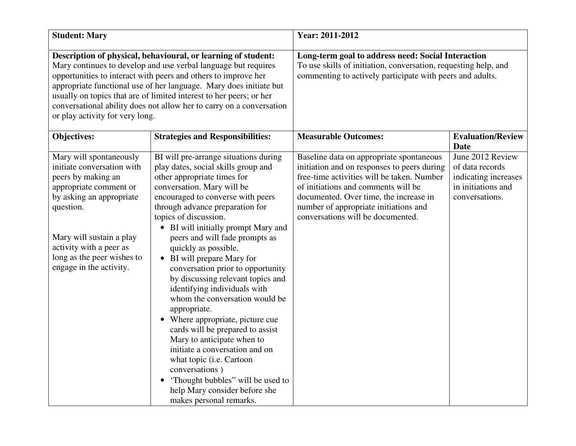| <b>Student: Mary</b>                                                                                                                                                                                                                                                                                                                                                                                                                                      |                                                                                                                                                                                                                                                                                                                                                                                                                                                                                                                                                                                                                                                                                                                                                                                                                                         | Year: 2011-2012                                                                                                                                                                                                                                                                                      |                                                                                                     |
|-----------------------------------------------------------------------------------------------------------------------------------------------------------------------------------------------------------------------------------------------------------------------------------------------------------------------------------------------------------------------------------------------------------------------------------------------------------|-----------------------------------------------------------------------------------------------------------------------------------------------------------------------------------------------------------------------------------------------------------------------------------------------------------------------------------------------------------------------------------------------------------------------------------------------------------------------------------------------------------------------------------------------------------------------------------------------------------------------------------------------------------------------------------------------------------------------------------------------------------------------------------------------------------------------------------------|------------------------------------------------------------------------------------------------------------------------------------------------------------------------------------------------------------------------------------------------------------------------------------------------------|-----------------------------------------------------------------------------------------------------|
| Description of physical, behavioural, or learning of student:<br>Mary continues to develop and use verbal language but requires<br>opportunities to interact with peers and others to improve her<br>appropriate functional use of her language. Mary does initiate but<br>usually on topics that are of limited interest to her peers; or her<br>conversational ability does not allow her to carry on a conversation<br>or play activity for very long. |                                                                                                                                                                                                                                                                                                                                                                                                                                                                                                                                                                                                                                                                                                                                                                                                                                         | Long-term goal to address need: Social Interaction<br>To use skills of initiation, conversation, requesting help, and<br>commenting to actively participate with peers and adults.                                                                                                                   |                                                                                                     |
| Objectives:                                                                                                                                                                                                                                                                                                                                                                                                                                               | <b>Strategies and Responsibilities:</b>                                                                                                                                                                                                                                                                                                                                                                                                                                                                                                                                                                                                                                                                                                                                                                                                 | <b>Measurable Outcomes:</b>                                                                                                                                                                                                                                                                          | <b>Evaluation/Review</b><br><b>Date</b>                                                             |
| Mary will spontaneously<br>initiate conversation with<br>peers by making an<br>appropriate comment or<br>by asking an appropriate<br>question.<br>Mary will sustain a play<br>activity with a peer as<br>long as the peer wishes to<br>engage in the activity.                                                                                                                                                                                            | BI will pre-arrange situations during<br>play dates, social skills group and<br>other appropriate times for<br>conversation. Mary will be<br>encouraged to converse with peers<br>through advance preparation for<br>topics of discussion.<br>• BI will initially prompt Mary and<br>peers and will fade prompts as<br>quickly as possible.<br>BI will prepare Mary for<br>$\bullet$<br>conversation prior to opportunity<br>by discussing relevant topics and<br>identifying individuals with<br>whom the conversation would be<br>appropriate.<br>• Where appropriate, picture cue<br>cards will be prepared to assist<br>Mary to anticipate when to<br>initiate a conversation and on<br>what topic (i.e. Cartoon<br>conversations)<br>'Thought bubbles" will be used to<br>help Mary consider before she<br>makes personal remarks. | Baseline data on appropriate spontaneous<br>initiation and on responses to peers during<br>free-time activities will be taken. Number<br>of initiations and comments will be<br>documented. Over time, the increase in<br>number of appropriate initiations and<br>conversations will be documented. | June 2012 Review<br>of data records<br>indicating increases<br>in initiations and<br>conversations. |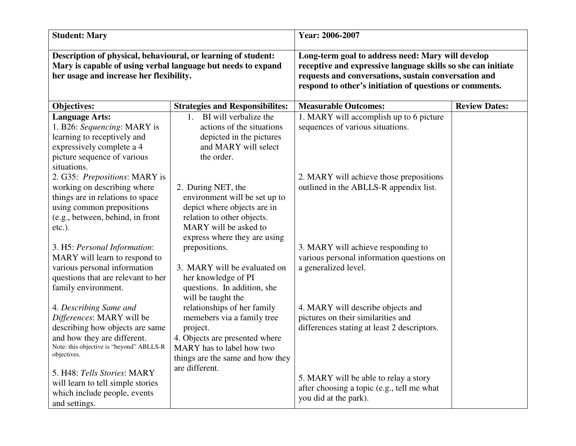| <b>Student: Mary</b>                                                                                                                                                     |                                                   | Year: 2006-2007                                                                                                                                                                                                                      |                      |
|--------------------------------------------------------------------------------------------------------------------------------------------------------------------------|---------------------------------------------------|--------------------------------------------------------------------------------------------------------------------------------------------------------------------------------------------------------------------------------------|----------------------|
| Description of physical, behavioural, or learning of student:<br>Mary is capable of using verbal language but needs to expand<br>her usage and increase her flexibility. |                                                   | Long-term goal to address need: Mary will develop<br>receptive and expressive language skills so she can initiate<br>requests and conversations, sustain conversation and<br>respond to other's initiation of questions or comments. |                      |
| Objectives:                                                                                                                                                              | <b>Strategies and Responsibilites:</b>            | <b>Measurable Outcomes:</b>                                                                                                                                                                                                          | <b>Review Dates:</b> |
| <b>Language Arts:</b>                                                                                                                                                    | BI will verbalize the<br>$1_{-}$                  | 1. MARY will accomplish up to 6 picture                                                                                                                                                                                              |                      |
| 1. B26: Sequencing: MARY is                                                                                                                                              | actions of the situations                         | sequences of various situations.                                                                                                                                                                                                     |                      |
| learning to receptively and                                                                                                                                              | depicted in the pictures                          |                                                                                                                                                                                                                                      |                      |
| expressively complete a 4                                                                                                                                                | and MARY will select                              |                                                                                                                                                                                                                                      |                      |
| picture sequence of various                                                                                                                                              | the order.                                        |                                                                                                                                                                                                                                      |                      |
| situations.                                                                                                                                                              |                                                   |                                                                                                                                                                                                                                      |                      |
| 2. G35: Prepositions: MARY is                                                                                                                                            |                                                   | 2. MARY will achieve those prepositions                                                                                                                                                                                              |                      |
| working on describing where                                                                                                                                              | 2. During NET, the                                | outlined in the ABLLS-R appendix list.                                                                                                                                                                                               |                      |
| things are in relations to space                                                                                                                                         | environment will be set up to                     |                                                                                                                                                                                                                                      |                      |
| using common prepositions                                                                                                                                                | depict where objects are in                       |                                                                                                                                                                                                                                      |                      |
| (e.g., between, behind, in front                                                                                                                                         | relation to other objects.                        |                                                                                                                                                                                                                                      |                      |
| $etc.$ ).                                                                                                                                                                | MARY will be asked to                             |                                                                                                                                                                                                                                      |                      |
|                                                                                                                                                                          | express where they are using                      |                                                                                                                                                                                                                                      |                      |
| 3. H5: Personal Information:                                                                                                                                             | prepositions.                                     | 3. MARY will achieve responding to                                                                                                                                                                                                   |                      |
| MARY will learn to respond to                                                                                                                                            |                                                   | various personal information questions on                                                                                                                                                                                            |                      |
| various personal information                                                                                                                                             | 3. MARY will be evaluated on                      | a generalized level.                                                                                                                                                                                                                 |                      |
| questions that are relevant to her                                                                                                                                       | her knowledge of PI                               |                                                                                                                                                                                                                                      |                      |
| family environment.                                                                                                                                                      | questions. In addition, she<br>will be taught the |                                                                                                                                                                                                                                      |                      |
| 4. Describing Same and                                                                                                                                                   | relationships of her family                       | 4. MARY will describe objects and                                                                                                                                                                                                    |                      |
| Differences: MARY will be                                                                                                                                                | memebers via a family tree                        | pictures on their similarities and                                                                                                                                                                                                   |                      |
| describing how objects are same                                                                                                                                          | project.                                          | differences stating at least 2 descriptors.                                                                                                                                                                                          |                      |
| and how they are different.                                                                                                                                              | 4. Objects are presented where                    |                                                                                                                                                                                                                                      |                      |
| Note: this objective is "beyond" ABLLS-R                                                                                                                                 | MARY has to label how two                         |                                                                                                                                                                                                                                      |                      |
| objectives.                                                                                                                                                              | things are the same and how they                  |                                                                                                                                                                                                                                      |                      |
|                                                                                                                                                                          | are different.                                    |                                                                                                                                                                                                                                      |                      |
| 5. H48: Tells Stories: MARY                                                                                                                                              |                                                   | 5. MARY will be able to relay a story                                                                                                                                                                                                |                      |
| will learn to tell simple stories                                                                                                                                        |                                                   | after choosing a topic (e.g., tell me what                                                                                                                                                                                           |                      |
| which include people, events                                                                                                                                             |                                                   | you did at the park).                                                                                                                                                                                                                |                      |
| and settings.                                                                                                                                                            |                                                   |                                                                                                                                                                                                                                      |                      |